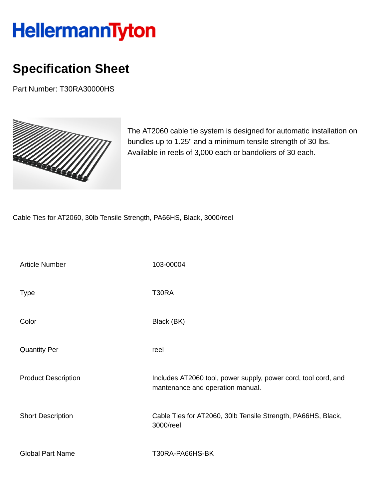## HellermannTyton

## **Specification Sheet**

Part Number: T30RA30000HS



The AT2060 cable tie system is designed for automatic installation on bundles up to 1.25" and a minimum tensile strength of 30 lbs. Available in reels of 3,000 each or bandoliers of 30 each.

Cable Ties for AT2060, 30lb Tensile Strength, PA66HS, Black, 3000/reel

| <b>Article Number</b>      | 103-00004                                                                                          |
|----------------------------|----------------------------------------------------------------------------------------------------|
| <b>Type</b>                | T30RA                                                                                              |
| Color                      | Black (BK)                                                                                         |
| <b>Quantity Per</b>        | reel                                                                                               |
| <b>Product Description</b> | Includes AT2060 tool, power supply, power cord, tool cord, and<br>mantenance and operation manual. |
| <b>Short Description</b>   | Cable Ties for AT2060, 30lb Tensile Strength, PA66HS, Black,<br>3000/reel                          |
| <b>Global Part Name</b>    | T30RA-PA66HS-BK                                                                                    |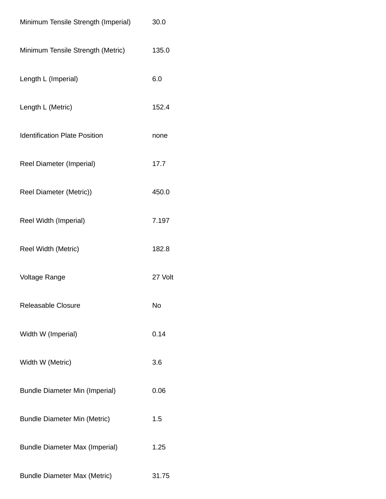| Minimum Tensile Strength (Imperial)   | 30.0    |
|---------------------------------------|---------|
| Minimum Tensile Strength (Metric)     | 135.0   |
| Length L (Imperial)                   | 6.0     |
| Length L (Metric)                     | 152.4   |
| <b>Identification Plate Position</b>  | none    |
| <b>Reel Diameter (Imperial)</b>       | 17.7    |
| Reel Diameter (Metric))               | 450.0   |
| Reel Width (Imperial)                 | 7.197   |
| Reel Width (Metric)                   | 182.8   |
| <b>Voltage Range</b>                  | 27 Volt |
| <b>Releasable Closure</b>             | No      |
| Width W (Imperial)                    | 0.14    |
| Width W (Metric)                      | 3.6     |
| <b>Bundle Diameter Min (Imperial)</b> | 0.06    |
| <b>Bundle Diameter Min (Metric)</b>   | 1.5     |
| <b>Bundle Diameter Max (Imperial)</b> | 1.25    |
| <b>Bundle Diameter Max (Metric)</b>   | 31.75   |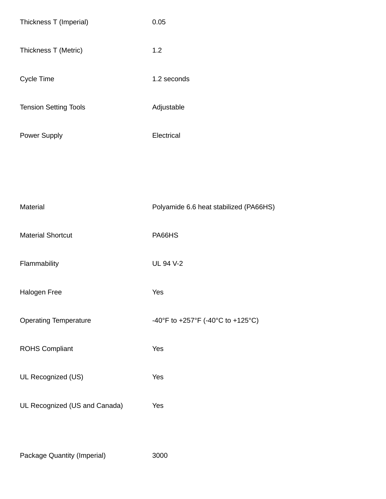| Thickness T (Imperial)        | 0.05                                   |
|-------------------------------|----------------------------------------|
| Thickness T (Metric)          | 1.2                                    |
| Cycle Time                    | 1.2 seconds                            |
| <b>Tension Setting Tools</b>  | Adjustable                             |
| Power Supply                  | Electrical                             |
|                               |                                        |
|                               |                                        |
| Material                      | Polyamide 6.6 heat stabilized (PA66HS) |
| <b>Material Shortcut</b>      | PA66HS                                 |
| Flammability                  | UL 94 V-2                              |
| Halogen Free                  | Yes                                    |
| <b>Operating Temperature</b>  | -40°F to +257°F (-40°C to +125°C)      |
| <b>ROHS Compliant</b>         | Yes                                    |
| UL Recognized (US)            | Yes                                    |
| UL Recognized (US and Canada) | Yes                                    |
|                               |                                        |

Package Quantity (Imperial) 3000